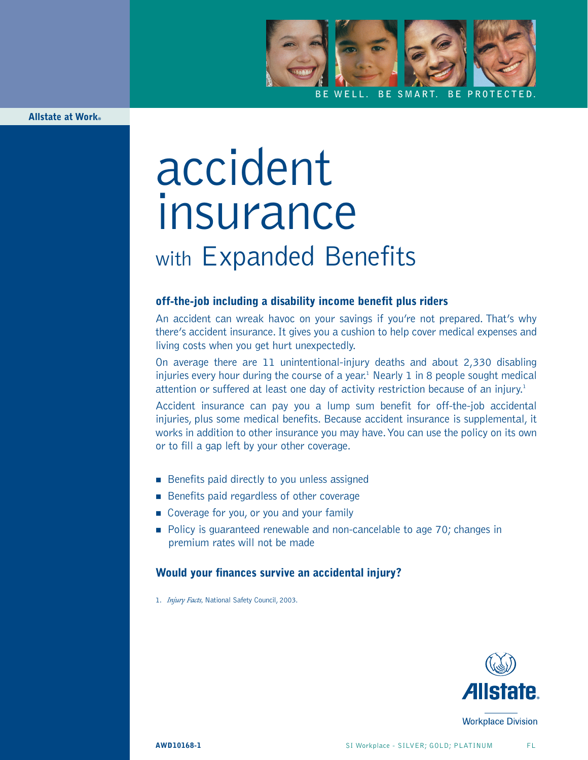

**Allstate at Work®**

# accident insurance with Expanded Benefits

## **off-the-job including a disability income benefit plus riders**

An accident can wreak havoc on your savings if you're not prepared. That's why there's accident insurance. It gives you a cushion to help cover medical expenses and living costs when you get hurt unexpectedly.

On average there are 11 unintentional-injury deaths and about 2,330 disabling injuries every hour during the course of a year.<sup>1</sup> Nearly 1 in 8 people sought medical attention or suffered at least one day of activity restriction because of an injury.<sup>1</sup>

Accident insurance can pay you a lump sum benefit for off-the-job accidental injuries, plus some medical benefits. Because accident insurance is supplemental, it works in addition to other insurance you may have.You can use the policy on its own or to fill a gap left by your other coverage.

- Benefits paid directly to you unless assigned
- Benefits paid regardless of other coverage
- Coverage for you, or you and your family
- Policy is guaranteed renewable and non-cancelable to age 70; changes in premium rates will not be made

### **Would your finances survive an accidental injury?**

1. *Injury Facts,* National Safety Council, 2003.



**Workplace Division**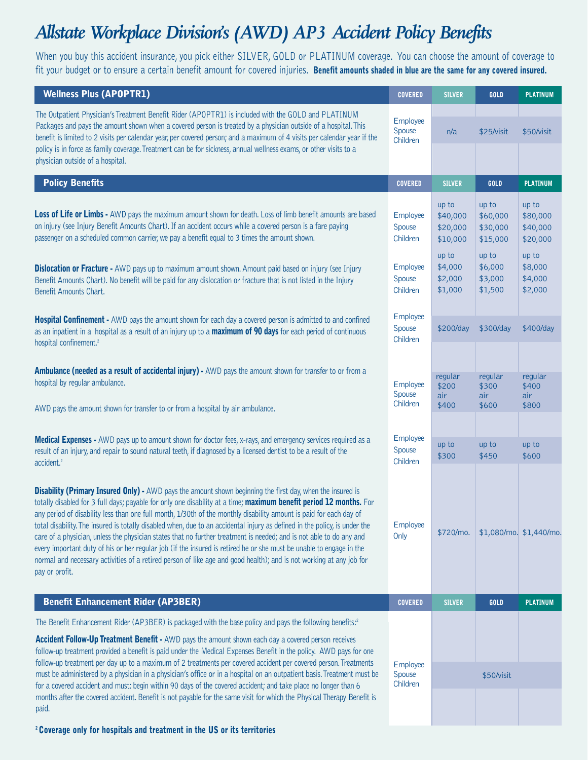# *Allstate Workplace Division's (AWD) AP3 Accident Policy Benefits*

When you buy this accident insurance, you pick either SILVER, GOLD or PLATINUM coverage. You can choose the amount of coverage to fit your budget or to ensure a certain benefit amount for covered injuries. **Benefit amounts shaded in blue are the same for any covered insured.**

| <b>Wellness Plus (APOPTR1)</b>                                                                                                                                                                                                                                                                                                                                                                                                                                                                                                                                                                                                                                                                                                                                                                                                                                                     | <b>COVERED</b>                                                   | <b>SILVER</b>                                                                       | GOLD                                                                                | <b>PLATINUM</b>                                                                     |
|------------------------------------------------------------------------------------------------------------------------------------------------------------------------------------------------------------------------------------------------------------------------------------------------------------------------------------------------------------------------------------------------------------------------------------------------------------------------------------------------------------------------------------------------------------------------------------------------------------------------------------------------------------------------------------------------------------------------------------------------------------------------------------------------------------------------------------------------------------------------------------|------------------------------------------------------------------|-------------------------------------------------------------------------------------|-------------------------------------------------------------------------------------|-------------------------------------------------------------------------------------|
| The Outpatient Physician's Treatment Benefit Rider (APOPTR1) is included with the GOLD and PLATINUM<br>Packages and pays the amount shown when a covered person is treated by a physician outside of a hospital. This<br>benefit is limited to 2 visits per calendar year, per covered person; and a maximum of 4 visits per calendar year if the<br>policy is in force as family coverage. Treatment can be for sickness, annual wellness exams, or other visits to a<br>physician outside of a hospital.                                                                                                                                                                                                                                                                                                                                                                         | Employee<br>Spouse<br>Children                                   | n/a                                                                                 | \$25/visit                                                                          | \$50/visit                                                                          |
| <b>Policy Benefits</b>                                                                                                                                                                                                                                                                                                                                                                                                                                                                                                                                                                                                                                                                                                                                                                                                                                                             | <b>COVERED</b>                                                   | <b>SILVER</b>                                                                       | GOLD                                                                                | <b>PLATINUM</b>                                                                     |
| Loss of Life or Limbs - AWD pays the maximum amount shown for death. Loss of limb benefit amounts are based<br>on injury (see Injury Benefit Amounts Chart). If an accident occurs while a covered person is a fare paying<br>passenger on a scheduled common carrier, we pay a benefit equal to 3 times the amount shown.<br><b>Dislocation or Fracture -</b> AWD pays up to maximum amount shown. Amount paid based on injury (see Injury<br>Benefit Amounts Chart). No benefit will be paid for any dislocation or fracture that is not listed in the Injury<br>Benefit Amounts Chart.                                                                                                                                                                                                                                                                                          | Employee<br>Spouse<br>Children<br>Employee<br>Spouse<br>Children | up to<br>\$40,000<br>\$20,000<br>\$10,000<br>up to<br>\$4,000<br>\$2,000<br>\$1,000 | up to<br>\$60,000<br>\$30,000<br>\$15,000<br>up to<br>\$6,000<br>\$3,000<br>\$1,500 | up to<br>\$80,000<br>\$40,000<br>\$20,000<br>up to<br>\$8,000<br>\$4,000<br>\$2,000 |
| Hospital Confinement - AWD pays the amount shown for each day a covered person is admitted to and confined<br>as an inpatient in a hospital as a result of an injury up to a maximum of 90 days for each period of continuous<br>hospital confinement. <sup>2</sup>                                                                                                                                                                                                                                                                                                                                                                                                                                                                                                                                                                                                                | \$200/day                                                        | \$300/day                                                                           | \$400/day                                                                           |                                                                                     |
| Ambulance (needed as a result of accidental injury) - AWD pays the amount shown for transfer to or from a<br>hospital by regular ambulance.                                                                                                                                                                                                                                                                                                                                                                                                                                                                                                                                                                                                                                                                                                                                        | Employee<br>Spouse<br>Children                                   | regular<br>\$200<br>air<br>\$400                                                    | regular<br>\$300<br>air<br>\$600                                                    | regular<br>\$400<br>air<br>\$800                                                    |
| AWD pays the amount shown for transfer to or from a hospital by air ambulance.<br>Medical Expenses - AWD pays up to amount shown for doctor fees, x-rays, and emergency services required as a<br>result of an injury, and repair to sound natural teeth, if diagnosed by a licensed dentist to be a result of the<br>accident. <sup>2</sup>                                                                                                                                                                                                                                                                                                                                                                                                                                                                                                                                       | Employee<br>Spouse<br>Children                                   | up to<br>\$300                                                                      | up to<br>\$450                                                                      | up to<br>\$600                                                                      |
| <b>Disability (Primary Insured Only)</b> - AWD pays the amount shown beginning the first day, when the insured is<br>totally disabled for 3 full days; payable for only one disability at a time; maximum benefit period 12 months. For<br>any period of disability less than one full month, 1/30th of the monthly disability amount is paid for each day of<br>total disability. The insured is totally disabled when, due to an accidental injury as defined in the policy, is under the<br>care of a physician, unless the physician states that no further treatment is needed; and is not able to do any and<br>every important duty of his or her regular job (if the insured is retired he or she must be unable to engage in the<br>normal and necessary activities of a retired person of like age and good health); and is not working at any job for<br>pay or profit. | Employee<br>Only                                                 | \$720/mo.                                                                           |                                                                                     | \$1,080/mo. \$1,440/mo.                                                             |
| <b>Benefit Enhancement Rider (AP3BER)</b>                                                                                                                                                                                                                                                                                                                                                                                                                                                                                                                                                                                                                                                                                                                                                                                                                                          | <b>COVERED</b>                                                   | <b>SILVER</b>                                                                       | GOLD                                                                                | <b>PLATINUM</b>                                                                     |
| The Benefit Enhancement Rider (AP3BER) is packaged with the base policy and pays the following benefits: <sup>2</sup><br><b>Accident Follow-Up Treatment Benefit -</b> AWD pays the amount shown each day a covered person receives<br>follow-up treatment provided a benefit is paid under the Medical Expenses Benefit in the policy. AWD pays for one<br>follow-up treatment per day up to a maximum of 2 treatments per covered accident per covered person. Treatments                                                                                                                                                                                                                                                                                                                                                                                                        | Employee                                                         |                                                                                     |                                                                                     |                                                                                     |
| must be administered by a physician in a physician's office or in a hospital on an outpatient basis. Treatment must be<br>for a covered accident and must: begin within 90 days of the covered accident; and take place no longer than 6<br>months after the covered accident. Benefit is not payable for the same visit for which the Physical Therapy Benefit is<br>paid.                                                                                                                                                                                                                                                                                                                                                                                                                                                                                                        | Spouse<br>Children                                               |                                                                                     | \$50/visit                                                                          |                                                                                     |

**2 Coverage only for hospitals and treatment in the US or its territories**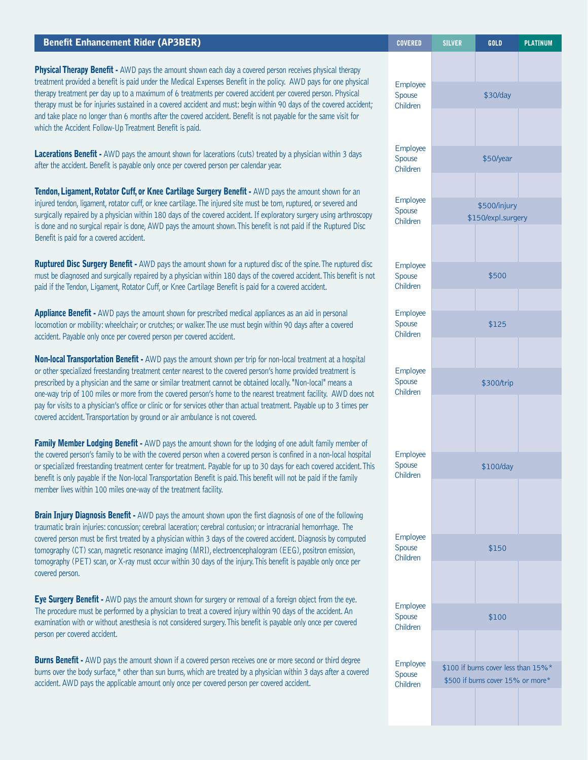| <b>Benefit Enhancement Rider (AP3BER)</b>                                                                                                                                                                                                                                                                                                                                                                                                                                                                                                                                                                                                                                        | <b>COVERED</b>                 | <b>SILVER</b> | <b>GOLD</b>                                                              | <b>PLATINUM</b> |
|----------------------------------------------------------------------------------------------------------------------------------------------------------------------------------------------------------------------------------------------------------------------------------------------------------------------------------------------------------------------------------------------------------------------------------------------------------------------------------------------------------------------------------------------------------------------------------------------------------------------------------------------------------------------------------|--------------------------------|---------------|--------------------------------------------------------------------------|-----------------|
| Physical Therapy Benefit - AWD pays the amount shown each day a covered person receives physical therapy<br>treatment provided a benefit is paid under the Medical Expenses Benefit in the policy. AWD pays for one physical                                                                                                                                                                                                                                                                                                                                                                                                                                                     | Employee                       |               |                                                                          |                 |
| therapy treatment per day up to a maximum of 6 treatments per covered accident per covered person. Physical<br>therapy must be for injuries sustained in a covered accident and must: begin within 90 days of the covered accident;<br>and take place no longer than 6 months after the covered accident. Benefit is not payable for the same visit for<br>which the Accident Follow-Up Treatment Benefit is paid.                                                                                                                                                                                                                                                               | Spouse<br>Children             |               | \$30/day                                                                 |                 |
| Lacerations Benefit - AWD pays the amount shown for lacerations (cuts) treated by a physician within 3 days<br>after the accident. Benefit is payable only once per covered person per calendar year.                                                                                                                                                                                                                                                                                                                                                                                                                                                                            | Employee<br>Spouse<br>Children |               | \$50/year                                                                |                 |
| Tendon, Ligament, Rotator Cuff, or Knee Cartilage Surgery Benefit - AWD pays the amount shown for an<br>injured tendon, ligament, rotator cuff, or knee cartilage. The injured site must be torn, ruptured, or severed and<br>surgically repaired by a physician within 180 days of the covered accident. If exploratory surgery using arthroscopy<br>is done and no surgical repair is done, AWD pays the amount shown. This benefit is not paid if the Ruptured Disc<br>Benefit is paid for a covered accident.                                                                                                                                                                | Employee<br>Spouse<br>Children |               | \$500/injury<br>\$150/expl.surgery                                       |                 |
| <b>Ruptured Disc Surgery Benefit -</b> AWD pays the amount shown for a ruptured disc of the spine. The ruptured disc<br>must be diagnosed and surgically repaired by a physician within 180 days of the covered accident. This benefit is not<br>paid if the Tendon, Ligament, Rotator Cuff, or Knee Cartilage Benefit is paid for a covered accident.                                                                                                                                                                                                                                                                                                                           | Employee<br>Spouse<br>Children |               | \$500                                                                    |                 |
| Appliance Benefit - AWD pays the amount shown for prescribed medical appliances as an aid in personal<br>locomotion or mobility: wheelchair; or crutches; or walker. The use must begin within 90 days after a covered<br>accident. Payable only once per covered person per covered accident.                                                                                                                                                                                                                                                                                                                                                                                   | Employee<br>Spouse<br>Children |               | \$125                                                                    |                 |
| <b>Non-local Transportation Benefit -</b> AWD pays the amount shown per trip for non-local treatment at a hospital<br>or other specialized freestanding treatment center nearest to the covered person's home provided treatment is<br>prescribed by a physician and the same or similar treatment cannot be obtained locally. "Non-local" means a<br>one-way trip of 100 miles or more from the covered person's home to the nearest treatment facility. AWD does not<br>pay for visits to a physician's office or clinic or for services other than actual treatment. Payable up to 3 times per<br>covered accident. Transportation by ground or air ambulance is not covered. |                                |               | \$300/trip                                                               |                 |
| Family Member Lodging Benefit - AWD pays the amount shown for the lodging of one adult family member of<br>the covered person's family to be with the covered person when a covered person is confined in a non-local hospital<br>or specialized freestanding treatment center for treatment. Payable for up to 30 days for each covered accident. This<br>benefit is only payable if the Non-local Transportation Benefit is paid. This benefit will not be paid if the family<br>member lives within 100 miles one-way of the treatment facility.                                                                                                                              | Employee<br>Spouse<br>Children |               | \$100/day                                                                |                 |
| Brain Injury Diagnosis Benefit - AWD pays the amount shown upon the first diagnosis of one of the following<br>traumatic brain injuries: concussion; cerebral laceration; cerebral contusion; or intracranial hemorrhage. The<br>covered person must be first treated by a physician within 3 days of the covered accident. Diagnosis by computed<br>tomography (CT) scan, magnetic resonance imaging (MRI), electroencephalogram (EEG), positron emission,<br>tomography (PET) scan, or X-ray must occur within 30 days of the injury. This benefit is payable only once per<br>covered person.                                                                                 | Employee<br>Spouse<br>Children |               | \$150                                                                    |                 |
| Eye Surgery Benefit - AWD pays the amount shown for surgery or removal of a foreign object from the eye.<br>The procedure must be performed by a physician to treat a covered injury within 90 days of the accident. An<br>examination with or without anesthesia is not considered surgery. This benefit is payable only once per covered<br>person per covered accident.                                                                                                                                                                                                                                                                                                       | Employee<br>Spouse<br>Children |               | \$100                                                                    |                 |
| <b>Burns Benefit</b> - AWD pays the amount shown if a covered person receives one or more second or third degree<br>burns over the body surface,* other than sun burns, which are treated by a physician within 3 days after a covered<br>accident. AWD pays the applicable amount only once per covered person per covered accident.                                                                                                                                                                                                                                                                                                                                            | Employee<br>Spouse<br>Children |               | \$100 if burns cover less than 15%*<br>\$500 if burns cover 15% or more* |                 |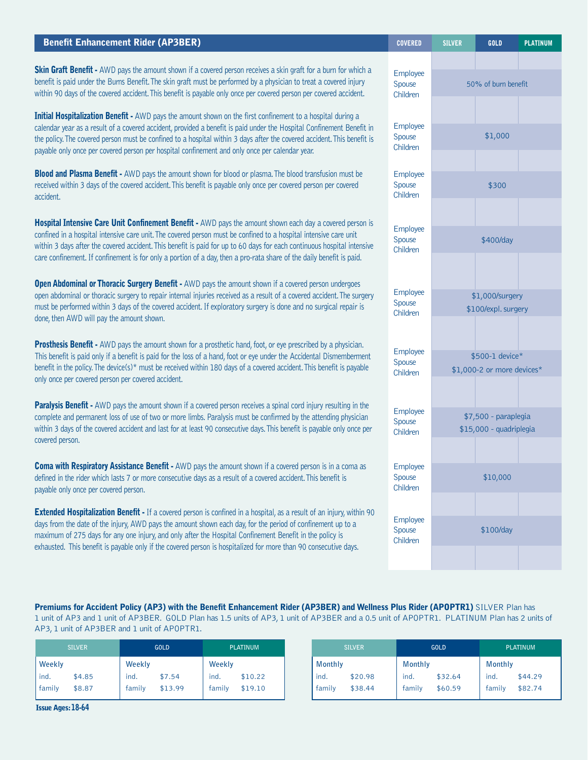| <b>Benefit Enhancement Rider (AP3BER)</b>                                                                                                                                                                                                                                                                                                                                                                                                                                         | <b>COVERED</b>                 | <b>SILVER</b> | <b>GOLD</b>                                     | <b>PLATINUM</b> |
|-----------------------------------------------------------------------------------------------------------------------------------------------------------------------------------------------------------------------------------------------------------------------------------------------------------------------------------------------------------------------------------------------------------------------------------------------------------------------------------|--------------------------------|---------------|-------------------------------------------------|-----------------|
| Skin Graft Benefit - AWD pays the amount shown if a covered person receives a skin graft for a burn for which a<br>benefit is paid under the Burns Benefit. The skin graft must be performed by a physician to treat a covered injury<br>within 90 days of the covered accident. This benefit is payable only once per covered person per covered accident.                                                                                                                       | Employee<br>Spouse<br>Children |               | 50% of burn benefit                             |                 |
| Initial Hospitalization Benefit - AWD pays the amount shown on the first confinement to a hospital during a<br>calendar year as a result of a covered accident, provided a benefit is paid under the Hospital Confinement Benefit in<br>the policy. The covered person must be confined to a hospital within 3 days after the covered accident. This benefit is<br>payable only once per covered person per hospital confinement and only once per calendar year.                 | Employee<br>Spouse<br>Children |               | \$1,000                                         |                 |
| <b>Blood and Plasma Benefit -</b> AWD pays the amount shown for blood or plasma. The blood transfusion must be<br>received within 3 days of the covered accident. This benefit is payable only once per covered person per covered<br>accident.                                                                                                                                                                                                                                   | Employee<br>Spouse<br>Children |               | \$300                                           |                 |
| Hospital Intensive Care Unit Confinement Benefit - AWD pays the amount shown each day a covered person is<br>confined in a hospital intensive care unit. The covered person must be confined to a hospital intensive care unit<br>within 3 days after the covered accident. This benefit is paid for up to 60 days for each continuous hospital intensive<br>care confinement. If confinement is for only a portion of a day, then a pro-rata share of the daily benefit is paid. | Employee<br>Spouse<br>Children |               | \$400/day                                       |                 |
| <b>Open Abdominal or Thoracic Surgery Benefit - AWD pays the amount shown if a covered person undergoes</b><br>open abdominal or thoracic surgery to repair internal injuries received as a result of a covered accident. The surgery<br>must be performed within 3 days of the covered accident. If exploratory surgery is done and no surgical repair is<br>done, then AWD will pay the amount shown.                                                                           | Employee<br>Spouse<br>Children |               | \$1,000/surgery<br>\$100/expl. surgery          |                 |
| <b>Prosthesis Benefit -</b> AWD pays the amount shown for a prosthetic hand, foot, or eye prescribed by a physician.<br>This benefit is paid only if a benefit is paid for the loss of a hand, foot or eye under the Accidental Dismemberment<br>benefit in the policy. The device(s)* must be received within 180 days of a covered accident. This benefit is payable<br>only once per covered person per covered accident.                                                      | Employee<br>Spouse<br>Children |               | \$500-1 device*<br>\$1,000-2 or more devices*   |                 |
| Paralysis Benefit - AWD pays the amount shown if a covered person receives a spinal cord injury resulting in the<br>complete and permanent loss of use of two or more limbs. Paralysis must be confirmed by the attending physician<br>within 3 days of the covered accident and last for at least 90 consecutive days. This benefit is payable only once per<br>covered person.                                                                                                  | Employee<br>Spouse<br>Children |               | \$7,500 - paraplegia<br>\$15,000 - quadriplegia |                 |
| <b>Coma with Respiratory Assistance Benefit - AWD pays the amount shown if a covered person is in a coma as</b><br>defined in the rider which lasts 7 or more consecutive days as a result of a covered accident. This benefit is<br>payable only once per covered person.                                                                                                                                                                                                        | Employee<br>Spouse<br>Children |               | \$10,000                                        |                 |
| <b>Extended Hospitalization Benefit -</b> If a covered person is confined in a hospital, as a result of an injury, within 90<br>days from the date of the injury, AWD pays the amount shown each day, for the period of confinement up to a<br>maximum of 275 days for any one injury, and only after the Hospital Confinement Benefit in the policy is<br>exhausted. This benefit is payable only if the covered person is hospitalized for more than 90 consecutive days.       | Employee<br>Spouse<br>Children |               | \$100/day                                       |                 |

**Premiums for Accident Policy (AP3) with the Benefit Enhancement Rider (AP3BER) and Wellness Plus Rider (APOPTR1)** SILVER Plan has 1 unit of AP3 and 1 unit of AP3BER. GOLD Plan has 1.5 units of AP3, 1 unit of AP3BER and a 0.5 unit of APOPTR1. PLATINUM Plan has 2 units of AP3, 1 unit of AP3BER and 1 unit of APOPTR1.

|               | <b>SILVER</b> |        | <b>GOLD</b> | <b>PLATINUM</b> |         |  |
|---------------|---------------|--------|-------------|-----------------|---------|--|
| Weekly        |               | Weekly |             | Weekly          |         |  |
| $\vert$ ind.  | \$4.85        | ind.   | \$7.54      | ind.            | \$10.22 |  |
| <b>family</b> | \$8.87        | family | \$13.99     | family          | \$19.10 |  |

| <b>SILVER</b> |         |                | <b>GOLD</b> | <b>PLATINUM</b> |         |  |
|---------------|---------|----------------|-------------|-----------------|---------|--|
| Monthly       |         | <b>Monthly</b> |             | <b>Monthly</b>  |         |  |
| $l$ ind.      | \$20.98 | ind.           | \$32.64     | ind.            | \$44.29 |  |
| family        | \$38.44 | family         | \$60.59     | family          | \$82.74 |  |

**Issue Ages:18-64**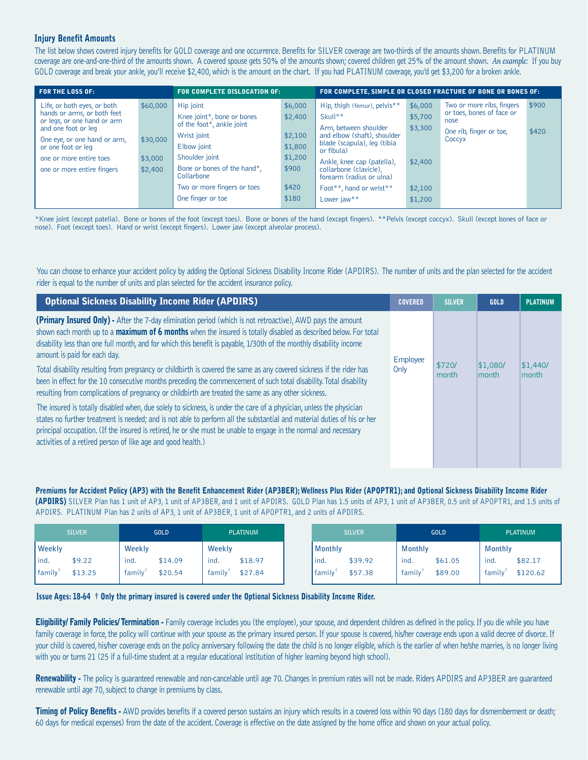### **Injury Benefit Amounts**

The list below shows covered injury benefits for GOLD coverage and one occurrence. Benefits for SILVER coverage are two-thirds of the amounts shown. Benefits for PLATINUM coverage are one-and-one-third of the amounts shown. A covered spouse gets 50% of the amounts shown; covered children get 25% of the amount shown. *An example:* If you buy GOLD coverage and break your ankle, you'll receive \$2,400, which is the amount on the chart. If you had PLATINUM coverage, you'd get \$3,200 for a broken ankle.

| <b>FOR THE LOSS OF:</b>                                                                                                                                                                                                         |                                            | <b>FOR COMPLETE DISLOCATION OF:</b>                                                                                                                                                                                   | FOR COMPLETE, SIMPLE OR CLOSED FRACTURE OF BONE OR BONES OF:                   |                                                                                                                                                                                                                                                                            |                                                                |                                                                                                     |                |
|---------------------------------------------------------------------------------------------------------------------------------------------------------------------------------------------------------------------------------|--------------------------------------------|-----------------------------------------------------------------------------------------------------------------------------------------------------------------------------------------------------------------------|--------------------------------------------------------------------------------|----------------------------------------------------------------------------------------------------------------------------------------------------------------------------------------------------------------------------------------------------------------------------|----------------------------------------------------------------|-----------------------------------------------------------------------------------------------------|----------------|
| Life, or both eyes, or both<br>hands or arms, or both feet<br>or legs, or one hand or arm<br>and one foot or leg<br>One eye, or one hand or arm,<br>or one foot or leg<br>one or more entire toes<br>one or more entire fingers | \$60,000<br>\$30,000<br>\$3,000<br>\$2,400 | Hip joint<br>Knee joint*, bone or bones<br>of the foot*, ankle joint<br>Wrist joint<br>Elbow joint<br>Shoulder joint<br>Bone or bones of the hand*,<br>Collarbone<br>Two or more fingers or toes<br>One finger or toe | \$6,000<br>\$2,400<br>\$2,100<br>\$1,800<br>\$1,200<br>\$900<br>\$420<br>\$180 | Hip, thigh (femur), pelvis**<br>Skull**<br>Arm, between shoulder<br>and elbow (shaft), shoulder<br>blade (scapula), leg (tibia<br>or fibula)<br>Ankle, knee cap (patella),<br>collarbone (clavicle),<br>forearm (radius or ulna)<br>Foot**, hand or wrist**<br>Lower jaw** | \$6,000<br>\$5,700<br>\$3,300<br>\$2,400<br>\$2,100<br>\$1,200 | Two or more ribs, fingers<br>or toes, bones of face or<br>nose<br>One rib, finger or toe,<br>Coccyx | \$900<br>\$420 |

\*Knee joint (except patella). Bone or bones of the foot (except toes). Bone or bones of the hand (except fingers). \*\*Pelvis (except coccyx). Skull (except bones of face or nose). Foot (except toes). Hand or wrist (except fingers). Lower jaw (except alveolar process).

You can choose to enhance your accident policy by adding the Optional Sickness Disability Income Rider (APDIRS). The number of units and the plan selected for the accident rider is equal to the number of units and plan selected for the accident insurance policy.

| <b>Optional Sickness Disability Income Rider (APDIRS)</b>                                                                                                                                                                                                                                                                                                                                                                           | <b>COVERED</b> | <b>SILVER</b>   | <b>GOLD</b>       | <b>PLATINUM</b>   |
|-------------------------------------------------------------------------------------------------------------------------------------------------------------------------------------------------------------------------------------------------------------------------------------------------------------------------------------------------------------------------------------------------------------------------------------|----------------|-----------------|-------------------|-------------------|
| (Primary Insured Only) - After the 7-day elimination period (which is not retroactive), AWD pays the amount<br>shown each month up to a maximum of 6 months when the insured is totally disabled as described below. For total<br>disability less than one full month, and for which this benefit is payable, 1/30th of the monthly disability income<br>amount is paid for each day.                                               | Employee       |                 |                   |                   |
| Total disability resulting from pregnancy or childbirth is covered the same as any covered sickness if the rider has<br>been in effect for the 10 consecutive months preceding the commencement of such total disability. Total disability<br>resulting from complications of pregnancy or childbirth are treated the same as any other sickness.                                                                                   | Only           | \$720/<br>month | \$1,080/<br>month | \$1,440/<br>month |
| The insured is totally disabled when, due solely to sickness, is under the care of a physician, unless the physician<br>states no further treatment is needed; and is not able to perform all the substantial and material duties of his or her<br>principal occupation. (If the insured is retired, he or she must be unable to engage in the normal and necessary<br>activities of a retired person of like age and good health.) |                |                 |                   |                   |

Premiums for Accident Policy (AP3) with the Benefit Enhancement Rider (AP3BER); Wellness Plus Rider (APOPTR1); and Optional Sickness Disability Income Rider **(APDIRS)** SILVER Plan has 1 unit of AP3, 1 unit of AP3BER, and 1 unit of APDIRS. GOLD Plan has 1.5 units of AP3, 1 unit of AP3BER, 0.5 unit of APOPTR1, and 1.5 units of APDIRS. PLATINUM Plan has 2 units of AP3, 1 unit of AP3BER, 1 unit of APOPTR1, and 2 units of APDIRS.

| <b>SILVER</b>                                    | <b>GOLD</b>                          | <b>PLATINUM</b>                      | <b>SILVER</b>  |                    | <b>GOLD</b>    |                    |                | <b>PLATINUM</b>     |
|--------------------------------------------------|--------------------------------------|--------------------------------------|----------------|--------------------|----------------|--------------------|----------------|---------------------|
| <b>Weekly</b>                                    | Weekly                               | Weekly                               | <b>Monthly</b> |                    | <b>Monthly</b> |                    | <b>Monthly</b> |                     |
| <sup>1</sup> ind.<br>\$9.22<br>family<br>\$13.25 | ind.<br>\$14.09<br>family<br>\$20.54 | ind.<br>\$18.97<br>family<br>\$27.84 | ind.<br>family | \$39.92<br>\$57.38 | ind.<br>family | \$61.05<br>\$89.00 | ind.<br>family | \$82.17<br>\$120.62 |

#### **Issue Ages: 18-64 † Only the primary insured is covered under the Optional Sickness Disability Income Rider.**

**Eligibility/ Family Policies/ Termination -** Family coverage includes you (the employee), your spouse, and dependent children as defined in the policy. If you die while you have family coverage in force, the policy will continue with your spouse as the primary insured person. If your spouse is covered, his/her coverage ends upon a valid decree of divorce. If your child is covered, his/her coverage ends on the policy anniversary following the date the child is no longer eligible, which is the earlier of when he/she marries, is no longer living with you or turns 21 (25 if a full-time student at a regular educational institution of higher learning beyond high school).

**Renewability -** The policy is guaranteed renewable and non-cancelable until age 70. Changes in premium rates will not be made. Riders APDIRS and AP3BER are guaranteed renewable until age 70, subject to change in premiums by class.

**Timing of Policy Benefits -** AWD provides benefits if a covered person sustains an injury which results in a covered loss within 90 days (180 days for dismemberment or death; 60 days for medical expenses) from the date of the accident. Coverage is effective on the date assigned by the home office and shown on your actual policy.